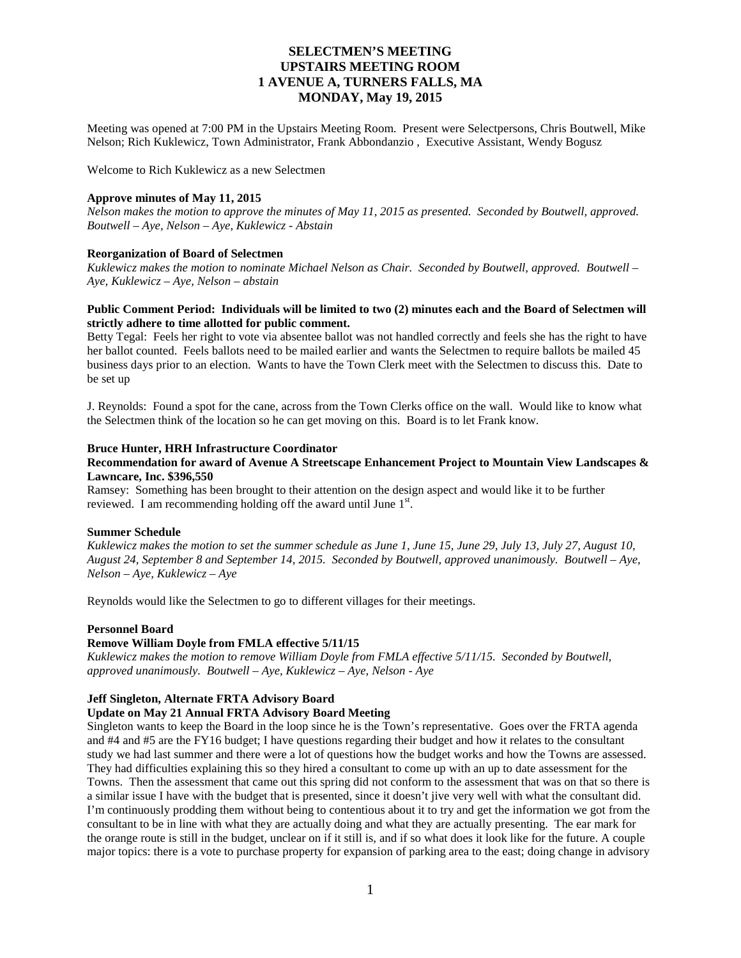Meeting was opened at 7:00 PM in the Upstairs Meeting Room. Present were Selectpersons, Chris Boutwell, Mike Nelson; Rich Kuklewicz, Town Administrator, Frank Abbondanzio , Executive Assistant, Wendy Bogusz

Welcome to Rich Kuklewicz as a new Selectmen

#### **Approve minutes of May 11, 2015**

*Nelson makes the motion to approve the minutes of May 11, 2015 as presented. Seconded by Boutwell, approved. Boutwell – Aye, Nelson – Aye, Kuklewicz - Abstain*

## **Reorganization of Board of Selectmen**

*Kuklewicz makes the motion to nominate Michael Nelson as Chair. Seconded by Boutwell, approved. Boutwell – Aye, Kuklewicz – Aye, Nelson – abstain*

## **Public Comment Period: Individuals will be limited to two (2) minutes each and the Board of Selectmen will strictly adhere to time allotted for public comment.**

Betty Tegal: Feels her right to vote via absentee ballot was not handled correctly and feels she has the right to have her ballot counted. Feels ballots need to be mailed earlier and wants the Selectmen to require ballots be mailed 45 business days prior to an election. Wants to have the Town Clerk meet with the Selectmen to discuss this. Date to be set up

J. Reynolds: Found a spot for the cane, across from the Town Clerks office on the wall. Would like to know what the Selectmen think of the location so he can get moving on this. Board is to let Frank know.

#### **Bruce Hunter, HRH Infrastructure Coordinator**

## **Recommendation for award of Avenue A Streetscape Enhancement Project to Mountain View Landscapes & Lawncare, Inc. \$396,550**

Ramsey: Something has been brought to their attention on the design aspect and would like it to be further reviewed. I am recommending holding off the award until June 1st.

#### **Summer Schedule**

*Kuklewicz makes the motion to set the summer schedule as June 1, June 15, June 29, July 13, July 27, August 10, August 24, September 8 and September 14, 2015. Seconded by Boutwell, approved unanimously. Boutwell – Aye, Nelson – Aye, Kuklewicz – Aye*

Reynolds would like the Selectmen to go to different villages for their meetings.

#### **Personnel Board**

#### **Remove William Doyle from FMLA effective 5/11/15**

*Kuklewicz makes the motion to remove William Doyle from FMLA effective 5/11/15. Seconded by Boutwell, approved unanimously. Boutwell – Aye, Kuklewicz – Aye, Nelson - Aye*

## **Jeff Singleton, Alternate FRTA Advisory Board**

## **Update on May 21 Annual FRTA Advisory Board Meeting**

Singleton wants to keep the Board in the loop since he is the Town's representative. Goes over the FRTA agenda and #4 and #5 are the FY16 budget; I have questions regarding their budget and how it relates to the consultant study we had last summer and there were a lot of questions how the budget works and how the Towns are assessed. They had difficulties explaining this so they hired a consultant to come up with an up to date assessment for the Towns. Then the assessment that came out this spring did not conform to the assessment that was on that so there is a similar issue I have with the budget that is presented, since it doesn't jive very well with what the consultant did. I'm continuously prodding them without being to contentious about it to try and get the information we got from the consultant to be in line with what they are actually doing and what they are actually presenting. The ear mark for the orange route is still in the budget, unclear on if it still is, and if so what does it look like for the future. A couple major topics: there is a vote to purchase property for expansion of parking area to the east; doing change in advisory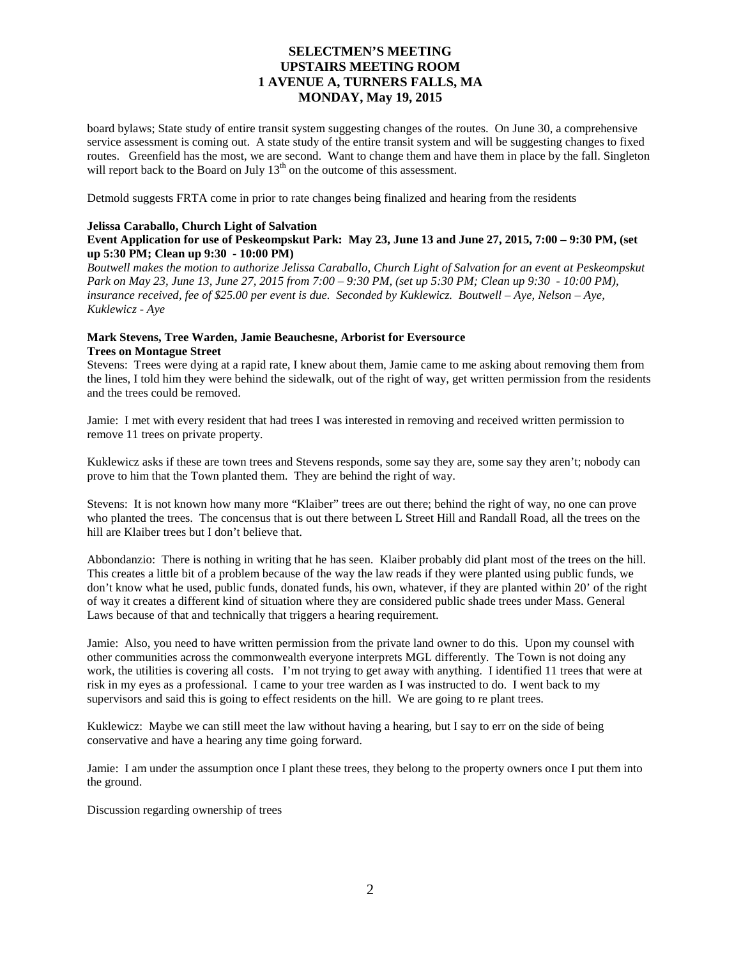board bylaws; State study of entire transit system suggesting changes of the routes. On June 30, a comprehensive service assessment is coming out. A state study of the entire transit system and will be suggesting changes to fixed routes. Greenfield has the most, we are second. Want to change them and have them in place by the fall. Singleton will report back to the Board on July 13<sup>th</sup> on the outcome of this assessment.

Detmold suggests FRTA come in prior to rate changes being finalized and hearing from the residents

## **Jelissa Caraballo, Church Light of Salvation**

## **Event Application for use of Peskeompskut Park: May 23, June 13 and June 27, 2015, 7:00 – 9:30 PM, (set up 5:30 PM; Clean up 9:30 - 10:00 PM)**

*Boutwell makes the motion to authorize Jelissa Caraballo, Church Light of Salvation for an event at Peskeompskut Park on May 23, June 13, June 27, 2015 from 7:00 – 9:30 PM, (set up 5:30 PM; Clean up 9:30 - 10:00 PM), insurance received, fee of \$25.00 per event is due. Seconded by Kuklewicz. Boutwell – Aye, Nelson – Aye, Kuklewicz - Aye*

## **Mark Stevens, Tree Warden, Jamie Beauchesne, Arborist for Eversource Trees on Montague Street**

Stevens: Trees were dying at a rapid rate, I knew about them, Jamie came to me asking about removing them from the lines, I told him they were behind the sidewalk, out of the right of way, get written permission from the residents and the trees could be removed.

Jamie: I met with every resident that had trees I was interested in removing and received written permission to remove 11 trees on private property.

Kuklewicz asks if these are town trees and Stevens responds, some say they are, some say they aren't; nobody can prove to him that the Town planted them. They are behind the right of way.

Stevens: It is not known how many more "Klaiber" trees are out there; behind the right of way, no one can prove who planted the trees. The concensus that is out there between L Street Hill and Randall Road, all the trees on the hill are Klaiber trees but I don't believe that.

Abbondanzio: There is nothing in writing that he has seen. Klaiber probably did plant most of the trees on the hill. This creates a little bit of a problem because of the way the law reads if they were planted using public funds, we don't know what he used, public funds, donated funds, his own, whatever, if they are planted within 20' of the right of way it creates a different kind of situation where they are considered public shade trees under Mass. General Laws because of that and technically that triggers a hearing requirement.

Jamie: Also, you need to have written permission from the private land owner to do this. Upon my counsel with other communities across the commonwealth everyone interprets MGL differently. The Town is not doing any work, the utilities is covering all costs. I'm not trying to get away with anything. I identified 11 trees that were at risk in my eyes as a professional. I came to your tree warden as I was instructed to do. I went back to my supervisors and said this is going to effect residents on the hill. We are going to re plant trees.

Kuklewicz: Maybe we can still meet the law without having a hearing, but I say to err on the side of being conservative and have a hearing any time going forward.

Jamie: I am under the assumption once I plant these trees, they belong to the property owners once I put them into the ground.

Discussion regarding ownership of trees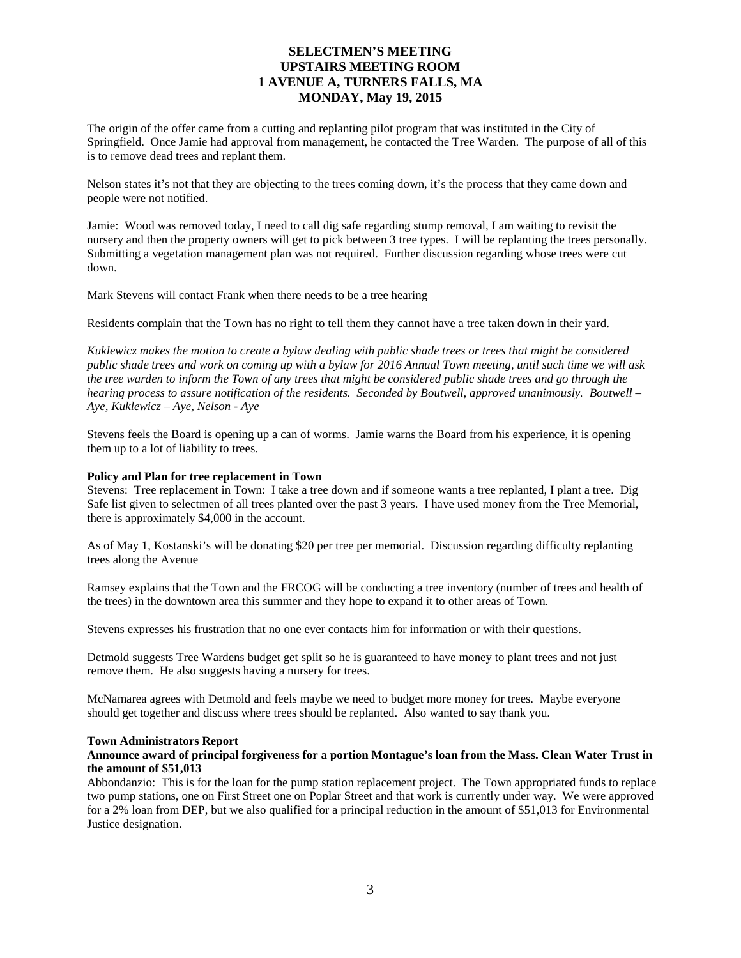The origin of the offer came from a cutting and replanting pilot program that was instituted in the City of Springfield. Once Jamie had approval from management, he contacted the Tree Warden. The purpose of all of this is to remove dead trees and replant them.

Nelson states it's not that they are objecting to the trees coming down, it's the process that they came down and people were not notified.

Jamie: Wood was removed today, I need to call dig safe regarding stump removal, I am waiting to revisit the nursery and then the property owners will get to pick between 3 tree types. I will be replanting the trees personally. Submitting a vegetation management plan was not required. Further discussion regarding whose trees were cut down.

Mark Stevens will contact Frank when there needs to be a tree hearing

Residents complain that the Town has no right to tell them they cannot have a tree taken down in their yard.

*Kuklewicz makes the motion to create a bylaw dealing with public shade trees or trees that might be considered public shade trees and work on coming up with a bylaw for 2016 Annual Town meeting, until such time we will ask the tree warden to inform the Town of any trees that might be considered public shade trees and go through the hearing process to assure notification of the residents. Seconded by Boutwell, approved unanimously. Boutwell – Aye, Kuklewicz – Aye, Nelson - Aye*

Stevens feels the Board is opening up a can of worms. Jamie warns the Board from his experience, it is opening them up to a lot of liability to trees.

#### **Policy and Plan for tree replacement in Town**

Stevens: Tree replacement in Town: I take a tree down and if someone wants a tree replanted, I plant a tree. Dig Safe list given to selectmen of all trees planted over the past 3 years. I have used money from the Tree Memorial, there is approximately \$4,000 in the account.

As of May 1, Kostanski's will be donating \$20 per tree per memorial. Discussion regarding difficulty replanting trees along the Avenue

Ramsey explains that the Town and the FRCOG will be conducting a tree inventory (number of trees and health of the trees) in the downtown area this summer and they hope to expand it to other areas of Town.

Stevens expresses his frustration that no one ever contacts him for information or with their questions.

Detmold suggests Tree Wardens budget get split so he is guaranteed to have money to plant trees and not just remove them. He also suggests having a nursery for trees.

McNamarea agrees with Detmold and feels maybe we need to budget more money for trees. Maybe everyone should get together and discuss where trees should be replanted. Also wanted to say thank you.

## **Town Administrators Report**

## **Announce award of principal forgiveness for a portion Montague's loan from the Mass. Clean Water Trust in the amount of \$51,013**

Abbondanzio: This is for the loan for the pump station replacement project. The Town appropriated funds to replace two pump stations, one on First Street one on Poplar Street and that work is currently under way. We were approved for a 2% loan from DEP, but we also qualified for a principal reduction in the amount of \$51,013 for Environmental Justice designation.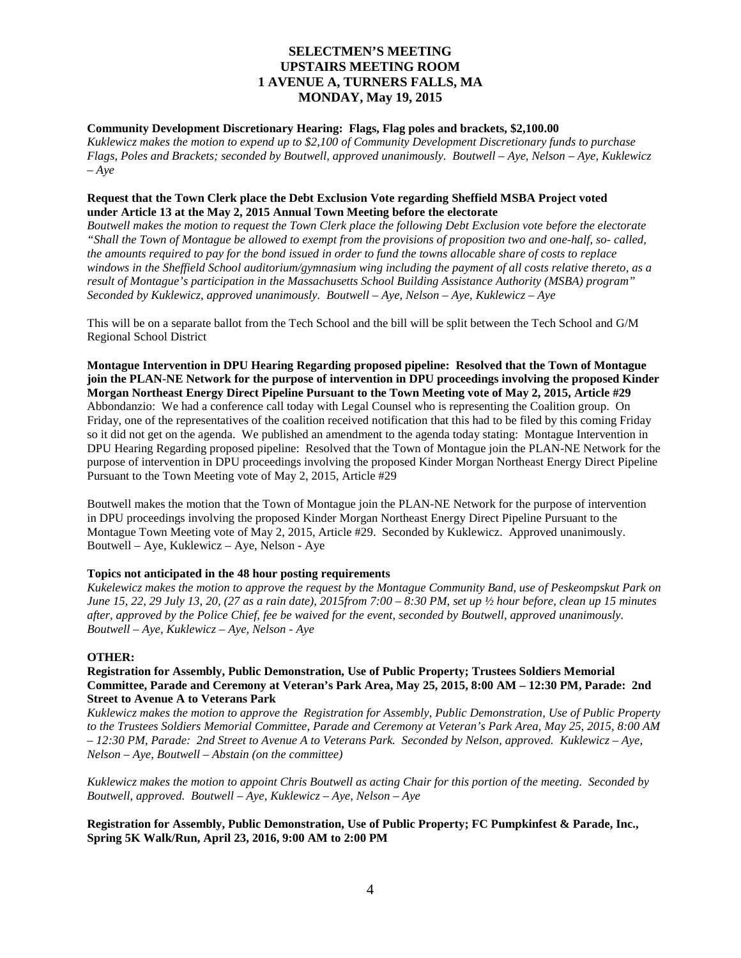## **Community Development Discretionary Hearing: Flags, Flag poles and brackets, \$2,100.00**

*Kuklewicz makes the motion to expend up to \$2,100 of Community Development Discretionary funds to purchase Flags, Poles and Brackets; seconded by Boutwell, approved unanimously. Boutwell – Aye, Nelson – Aye, Kuklewicz – Aye*

## **Request that the Town Clerk place the Debt Exclusion Vote regarding Sheffield MSBA Project voted under Article 13 at the May 2, 2015 Annual Town Meeting before the electorate**

*Boutwell makes the motion to request the Town Clerk place the following Debt Exclusion vote before the electorate "Shall the Town of Montague be allowed to exempt from the provisions of proposition two and one-half, so- called, the amounts required to pay for the bond issued in order to fund the towns allocable share of costs to replace windows in the Sheffield School auditorium/gymnasium wing including the payment of all costs relative thereto, as a result of Montague's participation in the Massachusetts School Building Assistance Authority (MSBA) program" Seconded by Kuklewicz, approved unanimously. Boutwell – Aye, Nelson – Aye, Kuklewicz – Aye*

This will be on a separate ballot from the Tech School and the bill will be split between the Tech School and G/M Regional School District

**Montague Intervention in DPU Hearing Regarding proposed pipeline: Resolved that the Town of Montague join the PLAN-NE Network for the purpose of intervention in DPU proceedings involving the proposed Kinder Morgan Northeast Energy Direct Pipeline Pursuant to the Town Meeting vote of May 2, 2015, Article #29** Abbondanzio: We had a conference call today with Legal Counsel who is representing the Coalition group. On Friday, one of the representatives of the coalition received notification that this had to be filed by this coming Friday so it did not get on the agenda. We published an amendment to the agenda today stating: Montague Intervention in DPU Hearing Regarding proposed pipeline: Resolved that the Town of Montague join the PLAN-NE Network for the purpose of intervention in DPU proceedings involving the proposed Kinder Morgan Northeast Energy Direct Pipeline Pursuant to the Town Meeting vote of May 2, 2015, Article #29

Boutwell makes the motion that the Town of Montague join the PLAN-NE Network for the purpose of intervention in DPU proceedings involving the proposed Kinder Morgan Northeast Energy Direct Pipeline Pursuant to the Montague Town Meeting vote of May 2, 2015, Article #29. Seconded by Kuklewicz. Approved unanimously. Boutwell – Aye, Kuklewicz – Aye, Nelson - Aye

## **Topics not anticipated in the 48 hour posting requirements**

*Kukelewicz makes the motion to approve the request by the Montague Community Band, use of Peskeompskut Park on June 15, 22, 29 July 13, 20, (27 as a rain date), 2015from 7:00 – 8:30 PM, set up ½ hour before, clean up 15 minutes after, approved by the Police Chief, fee be waived for the event, seconded by Boutwell, approved unanimously. Boutwell – Aye, Kuklewicz – Aye, Nelson - Aye*

## **OTHER:**

**Registration for Assembly, Public Demonstration, Use of Public Property; Trustees Soldiers Memorial Committee, Parade and Ceremony at Veteran's Park Area, May 25, 2015, 8:00 AM – 12:30 PM, Parade: 2nd Street to Avenue A to Veterans Park**

*Kuklewicz makes the motion to approve the Registration for Assembly, Public Demonstration, Use of Public Property to the Trustees Soldiers Memorial Committee, Parade and Ceremony at Veteran's Park Area, May 25, 2015, 8:00 AM – 12:30 PM, Parade: 2nd Street to Avenue A to Veterans Park. Seconded by Nelson, approved. Kuklewicz – Aye, Nelson – Aye, Boutwell – Abstain (on the committee)* 

*Kuklewicz makes the motion to appoint Chris Boutwell as acting Chair for this portion of the meeting. Seconded by Boutwell, approved. Boutwell – Aye, Kuklewicz – Aye, Nelson – Aye* 

## **Registration for Assembly, Public Demonstration, Use of Public Property; FC Pumpkinfest & Parade, Inc., Spring 5K Walk/Run, April 23, 2016, 9:00 AM to 2:00 PM**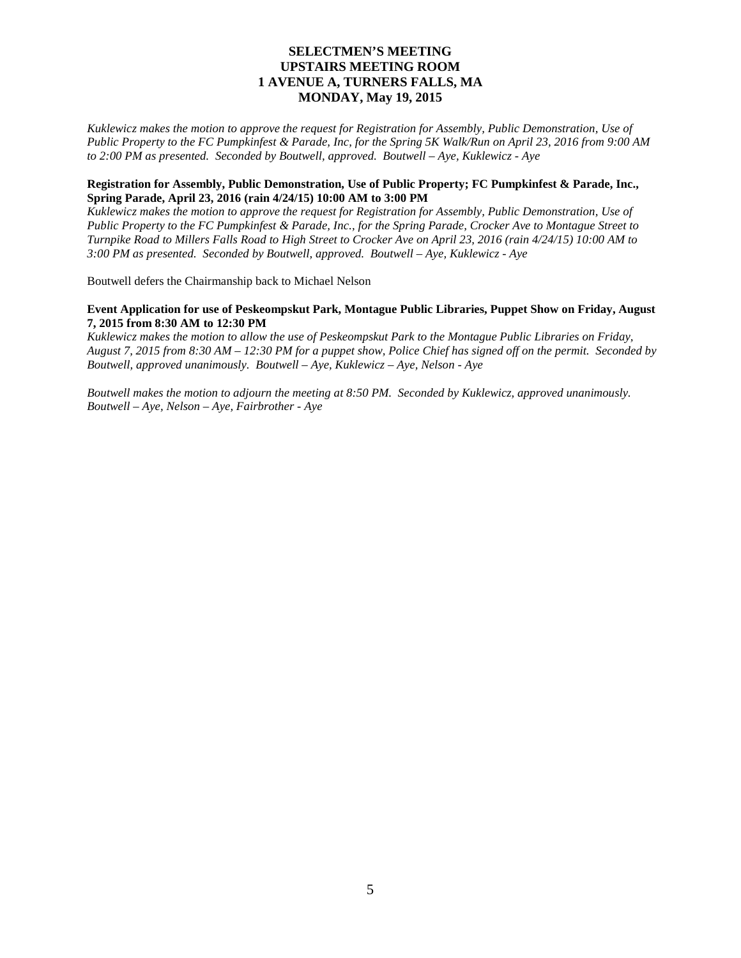*Kuklewicz makes the motion to approve the request for Registration for Assembly, Public Demonstration, Use of Public Property to the FC Pumpkinfest & Parade, Inc, for the Spring 5K Walk/Run on April 23, 2016 from 9:00 AM to 2:00 PM as presented. Seconded by Boutwell, approved. Boutwell – Aye, Kuklewicz - Aye*

## **Registration for Assembly, Public Demonstration, Use of Public Property; FC Pumpkinfest & Parade, Inc., Spring Parade, April 23, 2016 (rain 4/24/15) 10:00 AM to 3:00 PM**

*Kuklewicz makes the motion to approve the request for Registration for Assembly, Public Demonstration, Use of Public Property to the FC Pumpkinfest & Parade, Inc., for the Spring Parade, Crocker Ave to Montague Street to Turnpike Road to Millers Falls Road to High Street to Crocker Ave on April 23, 2016 (rain 4/24/15) 10:00 AM to 3:00 PM as presented. Seconded by Boutwell, approved. Boutwell – Aye, Kuklewicz - Aye*

Boutwell defers the Chairmanship back to Michael Nelson

## **Event Application for use of Peskeompskut Park, Montague Public Libraries, Puppet Show on Friday, August 7, 2015 from 8:30 AM to 12:30 PM**

*Kuklewicz makes the motion to allow the use of Peskeompskut Park to the Montague Public Libraries on Friday, August 7, 2015 from 8:30 AM – 12:30 PM for a puppet show, Police Chief has signed off on the permit. Seconded by Boutwell, approved unanimously. Boutwell – Aye, Kuklewicz – Aye, Nelson - Aye*

*Boutwell makes the motion to adjourn the meeting at 8:50 PM. Seconded by Kuklewicz, approved unanimously. Boutwell – Aye, Nelson – Aye, Fairbrother - Aye*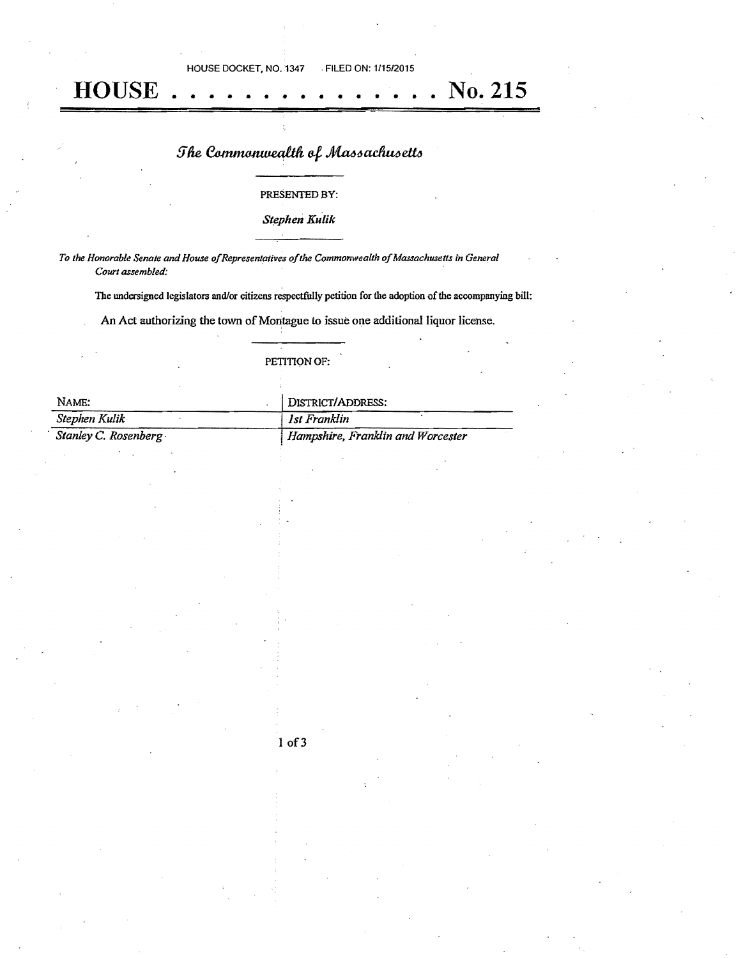HOUSE DOCKET, NO. 1347 . FILED ON: 1115/2015

## The Commonwealth of Massachusetts

**HOUSE** • • • • • • • • • • • • • No. 215

#### PRESENTED BY:

*S(ephen Kulik* 

To the Honorable Senate and House of Representatives of the Commonwealth of Massachusetts in General *Courl assembled:* 

The undersigned legislators and/or citizens respectfully petition for the adoption of the accompanying bill:

An Act authorizing the town of Montague to issue one additional liquor license.

## PETITIQN OF:

| NAME:                | DISTRICT/ADDRESS:                 |
|----------------------|-----------------------------------|
| Stephen Kulik        | Ist Franklin                      |
| Stanley C. Rosenberg | Hampshire, Franklin and Worcester |

lof3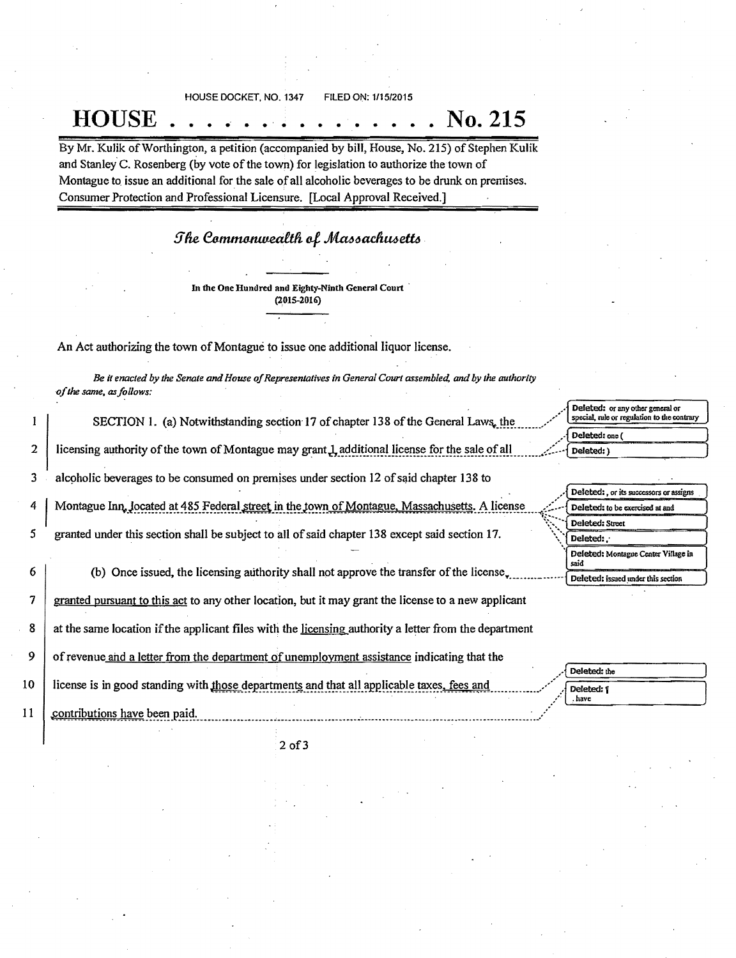HOUSE DOCKET, NO. 1347 FILED ON: 1/15/2015

## **HOUSE** ' • • • • . . • • • • • • • **.** No. 215

By Mr. Kulik of Worthington, a petition (accompanied by bill, House, No. 215) of Stephen Kulik and Stanley C. Rosenberg (by vote of the town) for legislation to authorize the town of Montague to, issue an additional for the sale of all alcoholic beverages to be drunk on premises. Consumer Protection and Professional Licensure. [Local Approval Received.]

## The Commonwealth of Massachusetts

In the One Hundred and Eighty-Ninth General Court (201S-2016)

An Act authorizing the town of Montague to issue one additional liquor license.

*Be it enacted by* the *Senate andHouse ofRepresentatives in General Court assembled,* and *by the authority -ofthe same, asfollows:* 

SECTION 1. (a) Notwithstanding section 17 of chapter 138 of the General Laws... the

2 licensing authority of the town of Montague may grant. L, additional license for the sale of all  $\ldots$ .  $\ldots$  beleted:)

3 alcoholic beverages to be consumed on premises under section  $12$  of said chapter 138 to

4 Montague Inn. Jocated at 485 Federal street in the town of Montague. Massachusetts. A license

5 granted under this section shall be subject to all of said chapter 138 except said section 17.

6 (b) Once issued, the licensing authority shall not approve the transfer of the license.

7 granted pursuant to this act to any other location, but it may grant the license to a new applicant

8 at the same location ifthe applicant files with the licensing authority a letter from the department

9 of revenue and a letter from the department of unemployment assistance indicating that the

10 license is in good standing with those departments and that all applicable taxes, fees and

11 contributions have been paid.

 $\mathbf{1}$ 

|                                                    | Deleted: one (                |                                       |
|----------------------------------------------------|-------------------------------|---------------------------------------|
| may grant 1 additional license for the sale of all | Deleted: )<br><b>Contract</b> |                                       |
| ises under section 12 of said chapter 138 to       |                               |                                       |
|                                                    |                               | Deleted: or its successors or assigns |

Deleted: or any other general or<br>special, rule or regulation to the contrary

| Deleted: , or its successors or assigns     |
|---------------------------------------------|
| Deleted: to be exercised at and             |
| Deleted: Street                             |
| Deleted:                                    |
| Deleted: Montague Center Village in<br>said |
| Deleted: issued under this section          |

| . .          | Deleted: the |
|--------------|--------------|
| es, fees and | Deleted: 1   |
| ٠.           | have         |

20f3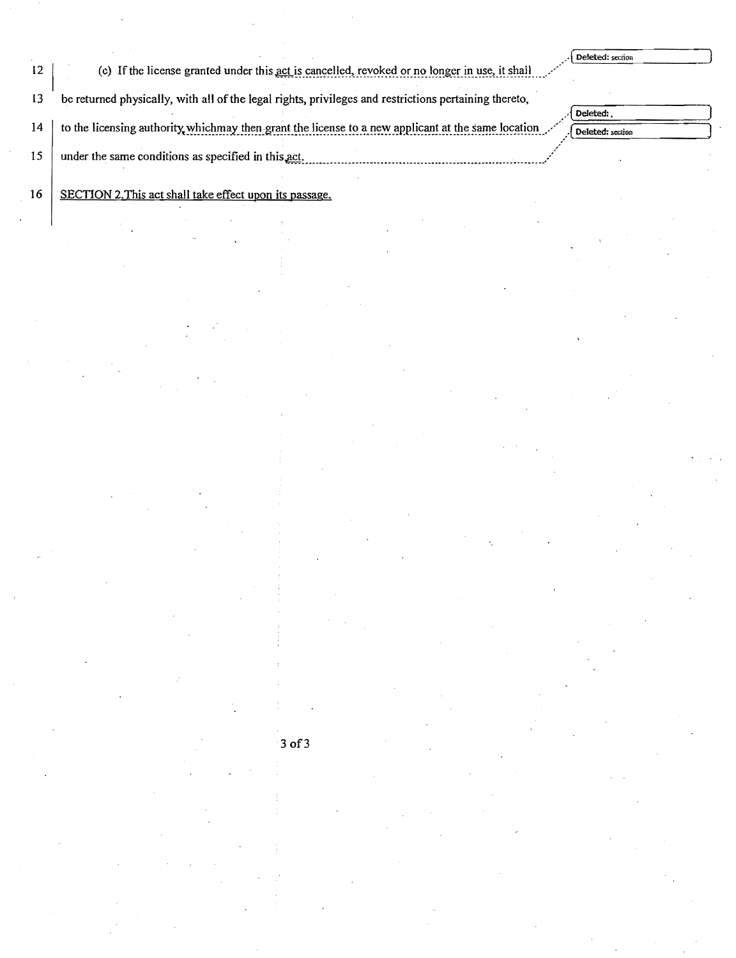|    | (c) If the license granted under this act is cancelled, revoked or no longer in use, it shall         | Deleted: section |
|----|-------------------------------------------------------------------------------------------------------|------------------|
| 13 | be returned physically, with all of the legal rights, privileges and restrictions pertaining thereto, | Deleted:         |
| 14 | to the licensing authority whichmay then grant the license to a new applicant at the same location    | Deleted: section |
| 15 | under the same conditions as specified in this act.                                                   |                  |

16 SECTION 2. This act shall take effect upon its passage.

 $3$  of  $3$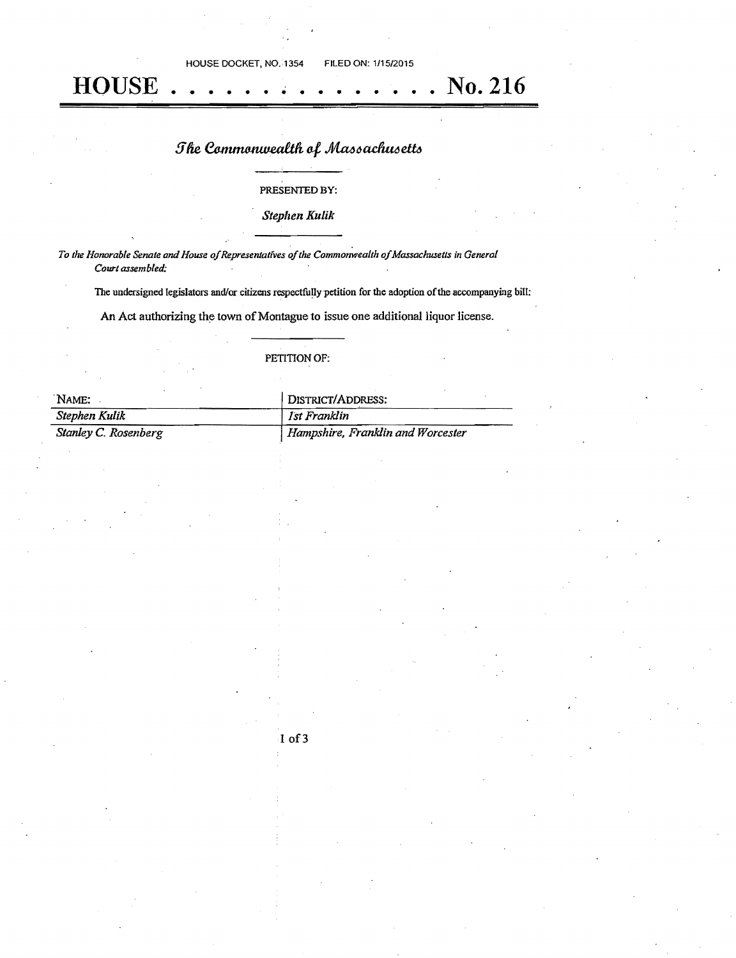HOUSE DOCKET, NO. 1354 FILED ON: 1/15/2015

## **HOUSE** No. 216

# The Commonwealth of Massachusetts

## PRESENTED BY:

## **Stephen Kulik**

To the Honorable Senate and House of Representatives of the Commonwealth of Massachusetts in General Court assembled:

The undersigned legislators and/or citizens respectfully petition for the adoption of the accompanying bill:

An Act authorizing the town of Montague to issue one additional liquor license.

## PETITION OF:

| NAME:                | DISTRICT/ADDRESS:                 |
|----------------------|-----------------------------------|
| Stephen Kulik        | Ist Franklin                      |
| Stanley C. Rosenberg | Hampshire, Franklin and Worcester |

I of 3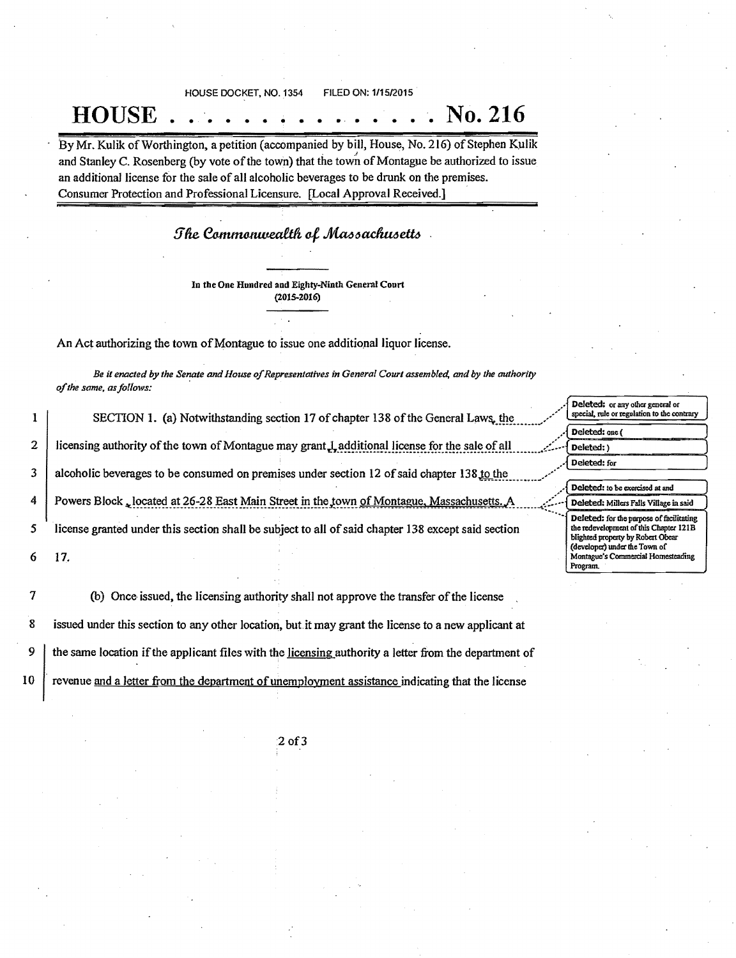HOUSE DOCKET, NO. 1354 FILED ON: 111512015

# **HOUSE** • • • • • • • • • .. . • • **..** No. 216

By Mr. Kulik of Worthington, a petition (accompanied by bill, House, No. 216) of Stephen Kulik and Stanley C. Rosenberg (by vote of the town) that the town of Montague be authorized to issue an additional license for the sale of all alcoholic beverages to be drunk on the premises. Consumer Protection and Professional Licensure. [Local Approval Received.]

The Commonwealth of Massachusetts.

In the One Hundred and Eighty-Ninth General Court (2015-2016)

An Act authorizing the town of Montague to issue one additional liquor license.

Be it enacted by the Senate and House of Representatives in General Court assembled, and by the authority of the same, as follows:

1 2 3 4 5 6 SECTION 1. (a) Notwithstanding section 17 of chapter 138 of the General Laws, the licensing authority of the town of Montague may grant.L additional license for the sale of all alcoholic beverages to be consumed on premises under section 12 of said chapter 138.to the Powers Block, located at 26-28 East Main Street in the town of Montague, Massachusetts, A<br>license granted under this section shall be subject to all of said chapter 138 except said section 17.

7 8 9 10 (b) Once issued, the licensing authority shall not approve the transfer of the license issued under this section to any other location, but it may grant the license to a new applicant at the same location ifthe applicant files with the licensing authority a letter from the department of revenue and a letter from the department of unemployment assistance indicating that the license

| Deleted: or any other general or<br>special, rule or regulation to the contrary |
|---------------------------------------------------------------------------------|
| Deleted: one (                                                                  |
| Deleted: )                                                                      |
| Deleted: for                                                                    |
| Deleted: to be exercised at and                                                 |
| Deleted: Millers Falls Village in said                                          |
| Deleted: for the purpose of facilitating                                        |

Program.

20f3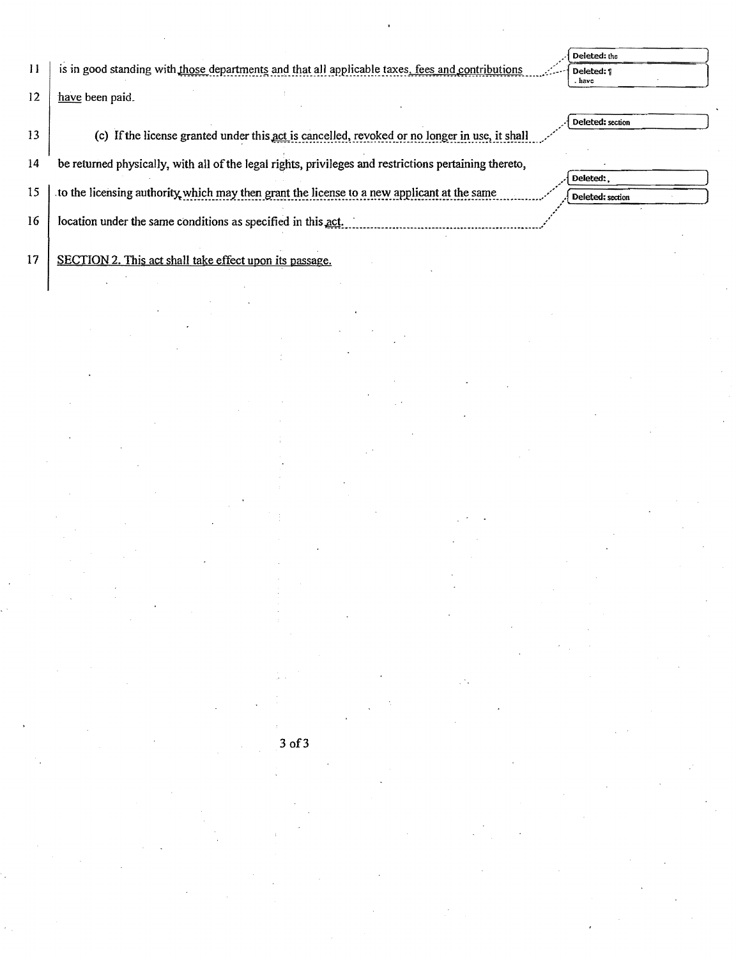$11$ is in good standing with those departments and that all applicable taxes, fees and contributions Deleted: the Deleted: 1  $rac{1}{2}$  have

12 have been paid.

13 (c) If the license granted under this act is cancelled, revoked or no longer in use, it shall

14 be returned physically, with all of the legal rights, privileges and restrictions pertaining thereto,

15 to the licensing authority which may then grant the license to a new applicant at the same

16 location under the same conditions as specified in this act.

17 SECTION 2. This act shall take effect upon its passage. Deleted: section

| J Deleted:       |  |
|------------------|--|
| Deleted: section |  |
|                  |  |

## 3 of 3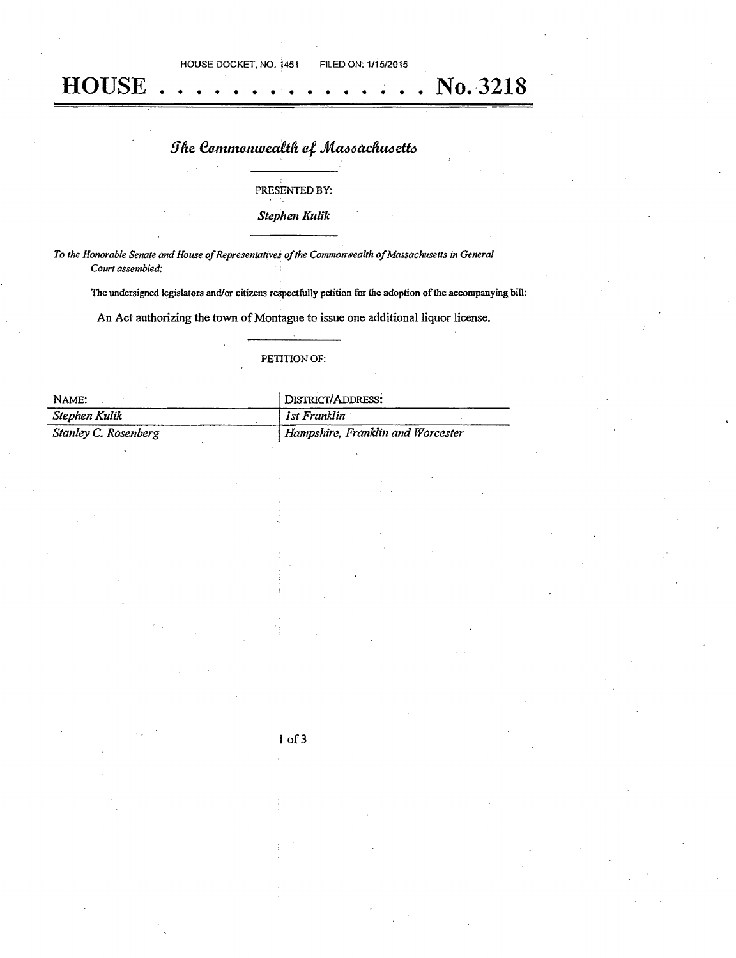HOUSE DOCKET, NO. 1451 FILED ON: 111512015 **HOUSE** • • • • • • • • • • • • • • • No. 3218

# The Commonwealth of Massachusetts

## PRESENTED BY:

*Stephen Kulik* 

To the Honorable Senate and House of Representatives of the Commonwealth of Massachusetts in General *Court assembled:* 

The undersigned legislators and/or citizens respectfully petition for the adoption of the accompanying bill:

An Act authorizing the town of Montague to issue one additional liquor license.

## PETITION OF:

| NAME:                | DISTRICT/ADDRESS:                 |  |
|----------------------|-----------------------------------|--|
| Stephen Kulik        | Ist Franklin                      |  |
| Stanley C. Rosenberg | Hampshire, Franklin and Worcester |  |

## $1$  of  $3$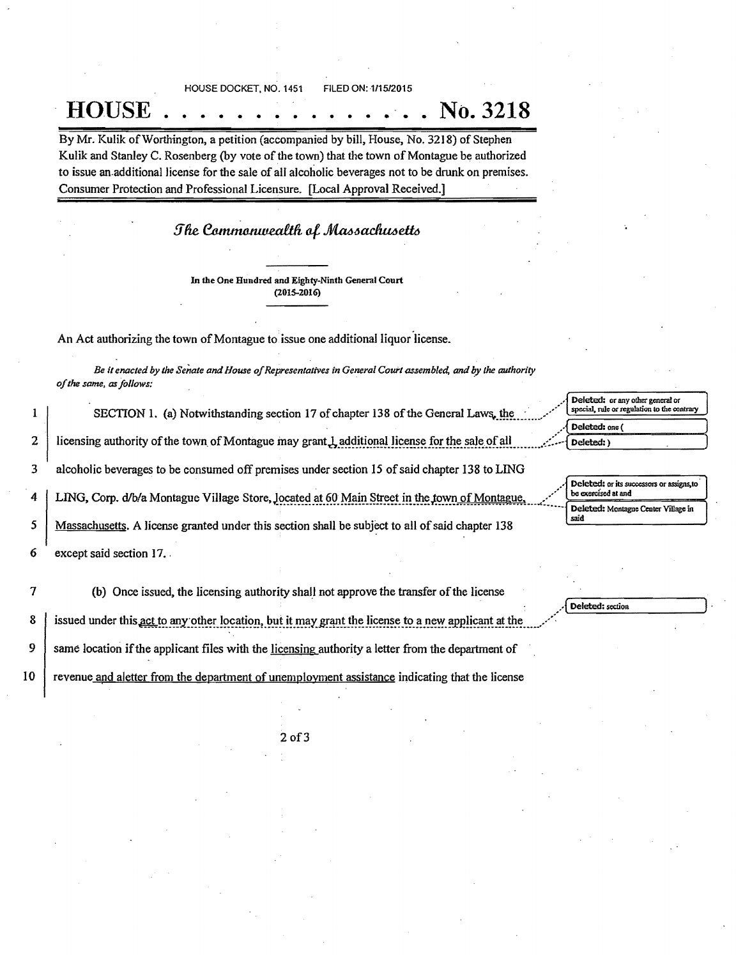HOUSE DOCKET. NO. 1451 FILED ON: 1/15/2015

**HOUSE** • • • • • • • • • • • • • **.** No. 3218

By Mr. Kulik of Worthington, a petition (accompanied by bill, House, No. 3218) of Stephen Kulik and Stanley C. Rosenberg (by vote of the town) that the town of Montague be authorized to issue an.additional license for the sale of all alcoholic beverages not to be drunk on premises. Consumer Protection and Professional Licensure. [Local Approval Received.]

## The Commonwealth of Massachusetts

In the One Hundred and Eighty-Ninth General Court (2015-2016)

An Act authorizing the town of Montague to issue one additional liquor license.

*Be it enacted by the Senate and House of Representatives in General Court assembled, and by the authority ofthe same. asfollows:* 

1 SECTION 1. (a) Notwithstanding section 17 of chapter 138 of the General Laws, the 2 licensing authority of the town of Montague may grant L additional license for the sale of all 3 alcoholic beverages to be consumed off premises under section 15 of said chapter 138 to LING 4 LING, Corp. d/b/a Montague Village Store, Jocated at 60 Main Street in the town of Montague 5 Massachusetts. A license granted under this section shall be subject to all ofsaid chapter 138

6 except said section 17..

7 (b) Once issued, the licensing authority shall not approve the transfer of the license

8 issued under this act to any other location, but it may grant the license to a new applicant at the

9 same location if the applicant files with the licensing authority a letter from the department of

10 revenue and aletter from the department of unemployment assistance indicating that the license

## Deleted: or any other general or special, rule or regulation to the contrary Deleted: one ( Deleted: )

" Deleted: or its successors or assigns, to<br>be exercised at and Deleted: Montague Center Village in said

Deleted: section

20f3